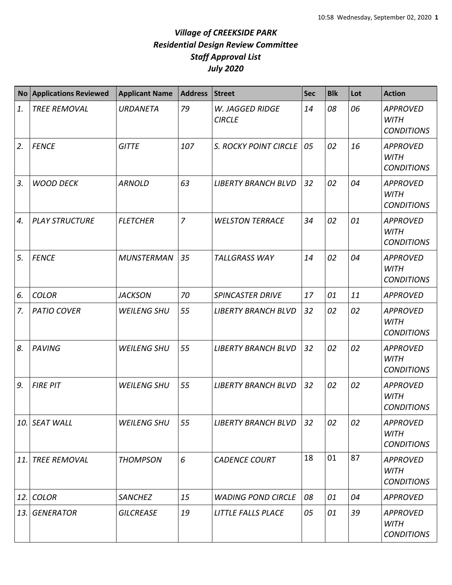| <b>No</b> | <b>Applications Reviewed</b> | <b>Applicant Name</b> | <b>Address</b> | <b>Street</b>                    | <b>Sec</b> | <b>Blk</b> | Lot | <b>Action</b>                                       |
|-----------|------------------------------|-----------------------|----------------|----------------------------------|------------|------------|-----|-----------------------------------------------------|
| 1.        | <b>TREE REMOVAL</b>          | <b>URDANETA</b>       | 79             | W. JAGGED RIDGE<br><b>CIRCLE</b> | 14         | 08         | 06  | <b>APPROVED</b><br><b>WITH</b><br><b>CONDITIONS</b> |
| 2.        | <b>FENCE</b>                 | <b>GITTE</b>          | 107            | S. ROCKY POINT CIRCLE            | 05         | 02         | 16  | <b>APPROVED</b><br><b>WITH</b><br><b>CONDITIONS</b> |
| 3.        | <b>WOOD DECK</b>             | <b>ARNOLD</b>         | 63             | <b>LIBERTY BRANCH BLVD</b>       | 32         | 02         | 04  | <b>APPROVED</b><br><b>WITH</b><br><b>CONDITIONS</b> |
| 4.        | <b>PLAY STRUCTURE</b>        | <b>FLETCHER</b>       | $\overline{7}$ | <b>WELSTON TERRACE</b>           | 34         | 02         | 01  | <b>APPROVED</b><br><b>WITH</b><br><b>CONDITIONS</b> |
| 5.        | <b>FENCE</b>                 | <b>MUNSTERMAN</b>     | 35             | <b>TALLGRASS WAY</b>             | 14         | 02         | 04  | <b>APPROVED</b><br><b>WITH</b><br><b>CONDITIONS</b> |
| 6.        | <b>COLOR</b>                 | <b>JACKSON</b>        | 70             | <b>SPINCASTER DRIVE</b>          | 17         | 01         | 11  | <b>APPROVED</b>                                     |
| 7.        | <b>PATIO COVER</b>           | <b>WEILENG SHU</b>    | 55             | <b>LIBERTY BRANCH BLVD</b>       | 32         | 02         | 02  | <b>APPROVED</b><br><b>WITH</b><br><b>CONDITIONS</b> |
| 8.        | <b>PAVING</b>                | <b>WEILENG SHU</b>    | 55             | <b>LIBERTY BRANCH BLVD</b>       | 32         | 02         | 02  | <b>APPROVED</b><br><b>WITH</b><br><b>CONDITIONS</b> |
| 9.        | <b>FIRE PIT</b>              | <b>WEILENG SHU</b>    | 55             | <b>LIBERTY BRANCH BLVD</b>       | 32         | 02         | 02  | <b>APPROVED</b><br><b>WITH</b><br><b>CONDITIONS</b> |
| 10.       | <b>SEAT WALL</b>             | <b>WEILENG SHU</b>    | 55             | <b>LIBERTY BRANCH BLVD</b>       | 32         | 02         | 02  | <b>APPROVED</b><br><b>WITH</b><br><b>CONDITIONS</b> |
| 11.       | <b>TREE REMOVAL</b>          | <b>THOMPSON</b>       | 6              | <b>CADENCE COURT</b>             | 18         | 01         | 87  | <b>APPROVED</b><br><b>WITH</b><br><b>CONDITIONS</b> |
| 12.       | <b>COLOR</b>                 | <b>SANCHEZ</b>        | 15             | <b>WADING POND CIRCLE</b>        | 08         | 01         | 04  | <b>APPROVED</b>                                     |
| 13.       | <b>GENERATOR</b>             | <b>GILCREASE</b>      | 19             | LITTLE FALLS PLACE               | 05         | 01         | 39  | <b>APPROVED</b><br><b>WITH</b><br><b>CONDITIONS</b> |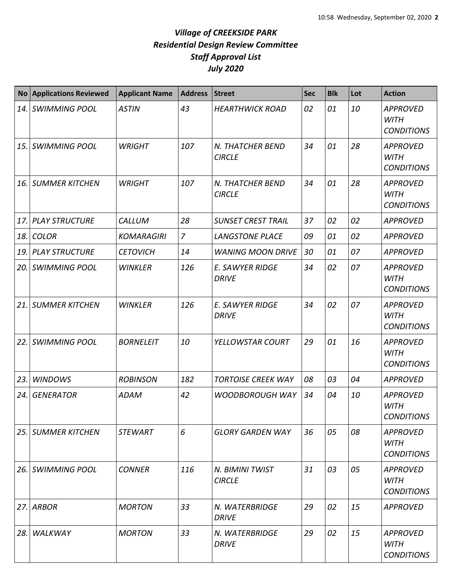| <b>No</b> | <b>Applications Reviewed</b> | <b>Applicant Name</b> | <b>Address</b> | <b>Street</b>                          | <b>Sec</b> | <b>Blk</b> | Lot | <b>Action</b>                                       |
|-----------|------------------------------|-----------------------|----------------|----------------------------------------|------------|------------|-----|-----------------------------------------------------|
| 14.       | <b>SWIMMING POOL</b>         | <b>ASTIN</b>          | 43             | <b>HEARTHWICK ROAD</b>                 | 02         | 01         | 10  | <b>APPROVED</b><br><b>WITH</b><br><b>CONDITIONS</b> |
| 15.       | <b>SWIMMING POOL</b>         | <b>WRIGHT</b>         | 107            | N. THATCHER BEND<br><b>CIRCLE</b>      | 34         | 01         | 28  | <b>APPROVED</b><br><b>WITH</b><br><b>CONDITIONS</b> |
| 16.       | <b>SUMMER KITCHEN</b>        | <b>WRIGHT</b>         | 107            | N. THATCHER BEND<br><b>CIRCLE</b>      | 34         | 01         | 28  | <b>APPROVED</b><br><b>WITH</b><br><b>CONDITIONS</b> |
| 17.       | <b>PLAY STRUCTURE</b>        | CALLUM                | 28             | <b>SUNSET CREST TRAIL</b>              | 37         | 02         | 02  | <b>APPROVED</b>                                     |
| 18.       | <b>COLOR</b>                 | <b>KOMARAGIRI</b>     | $\overline{z}$ | <b>LANGSTONE PLACE</b>                 | 09         | 01         | 02  | <b>APPROVED</b>                                     |
| 19.       | <b>PLAY STRUCTURE</b>        | <b>CETOVICH</b>       | 14             | <b>WANING MOON DRIVE</b>               | 30         | 01         | 07  | <b>APPROVED</b>                                     |
| 20.       | <b>SWIMMING POOL</b>         | <b>WINKLER</b>        | 126            | <b>E. SAWYER RIDGE</b><br><b>DRIVE</b> | 34         | 02         | 07  | <b>APPROVED</b><br><b>WITH</b><br><b>CONDITIONS</b> |
| 21.       | <b>SUMMER KITCHEN</b>        | <b>WINKLER</b>        | 126            | <b>E. SAWYER RIDGE</b><br><b>DRIVE</b> | 34         | 02         | 07  | <b>APPROVED</b><br><b>WITH</b><br><b>CONDITIONS</b> |
| 22.       | <b>SWIMMING POOL</b>         | <b>BORNELEIT</b>      | 10             | YELLOWSTAR COURT                       | 29         | 01         | 16  | <b>APPROVED</b><br><b>WITH</b><br><b>CONDITIONS</b> |
| 23.       | <b>WINDOWS</b>               | <b>ROBINSON</b>       | 182            | <b>TORTOISE CREEK WAY</b>              | 08         | 03         | 04  | <b>APPROVED</b>                                     |
| 24.       | <b>GENERATOR</b>             | <b>ADAM</b>           | 42             | <b>WOODBOROUGH WAY</b>                 | 34         | 04         | 10  | <b>APPROVED</b><br><b>WITH</b><br><b>CONDITIONS</b> |
| 25.       | <b>SUMMER KITCHEN</b>        | <b>STEWART</b>        | 6              | <b>GLORY GARDEN WAY</b>                | 36         | 05         | 08  | <b>APPROVED</b><br><b>WITH</b><br><b>CONDITIONS</b> |
| 26.       | <b>SWIMMING POOL</b>         | <b>CONNER</b>         | 116            | N. BIMINI TWIST<br><b>CIRCLE</b>       | 31         | 03         | 05  | <b>APPROVED</b><br>WITH<br><b>CONDITIONS</b>        |
| 27.       | <b>ARBOR</b>                 | <b>MORTON</b>         | 33             | N. WATERBRIDGE<br><b>DRIVE</b>         | 29         | 02         | 15  | <b>APPROVED</b>                                     |
| 28.       | WALKWAY                      | <b>MORTON</b>         | 33             | N. WATERBRIDGE<br><b>DRIVE</b>         | 29         | 02         | 15  | <b>APPROVED</b><br><b>WITH</b><br><b>CONDITIONS</b> |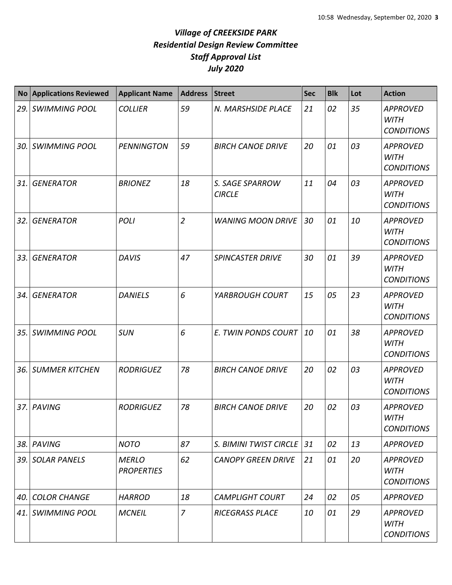| <b>No</b> | <b>Applications Reviewed</b> | <b>Applicant Name</b>             | <b>Address</b> | <b>Street</b>                    | <b>Sec</b> | <b>Blk</b> | Lot | <b>Action</b>                                       |
|-----------|------------------------------|-----------------------------------|----------------|----------------------------------|------------|------------|-----|-----------------------------------------------------|
| 29.       | <b>SWIMMING POOL</b>         | <b>COLLIER</b>                    | 59             | N. MARSHSIDE PLACE               | 21         | 02         | 35  | <b>APPROVED</b><br><b>WITH</b><br><b>CONDITIONS</b> |
| 30.       | <b>SWIMMING POOL</b>         | <b>PENNINGTON</b>                 | 59             | <b>BIRCH CANOE DRIVE</b>         | 20         | 01         | 03  | <b>APPROVED</b><br><b>WITH</b><br><b>CONDITIONS</b> |
| 31.       | <b>GENERATOR</b>             | <b>BRIONEZ</b>                    | 18             | S. SAGE SPARROW<br><b>CIRCLE</b> | 11         | 04         | 03  | <b>APPROVED</b><br><b>WITH</b><br><b>CONDITIONS</b> |
| 32.       | <b>GENERATOR</b>             | <b>POLI</b>                       | $\overline{2}$ | <b>WANING MOON DRIVE</b>         | 30         | 01         | 10  | <b>APPROVED</b><br><b>WITH</b><br><b>CONDITIONS</b> |
| 33.       | <b>GENERATOR</b>             | <b>DAVIS</b>                      | 47             | <b>SPINCASTER DRIVE</b>          | 30         | 01         | 39  | <b>APPROVED</b><br><b>WITH</b><br><b>CONDITIONS</b> |
| 34.       | <b>GENERATOR</b>             | <b>DANIELS</b>                    | 6              | YARBROUGH COURT                  | 15         | 05         | 23  | <b>APPROVED</b><br><b>WITH</b><br><b>CONDITIONS</b> |
| 35.       | <b>SWIMMING POOL</b>         | <b>SUN</b>                        | 6              | E. TWIN PONDS COURT              | 10         | 01         | 38  | <b>APPROVED</b><br><b>WITH</b><br><b>CONDITIONS</b> |
| 36.       | <b>SUMMER KITCHEN</b>        | <b>RODRIGUEZ</b>                  | 78             | <b>BIRCH CANOE DRIVE</b>         | 20         | 02         | 03  | <b>APPROVED</b><br><b>WITH</b><br><b>CONDITIONS</b> |
| 37.       | PAVING                       | <b>RODRIGUEZ</b>                  | 78             | <b>BIRCH CANOE DRIVE</b>         | 20         | 02         | 03  | <b>APPROVED</b><br><b>WITH</b><br><b>CONDITIONS</b> |
| 38.       | PAVING                       | <b>NOTO</b>                       | 87             | S. BIMINI TWIST CIRCLE           | 31         | 02         | 13  | <b>APPROVED</b>                                     |
| 39.       | <b>SOLAR PANELS</b>          | <b>MERLO</b><br><b>PROPERTIES</b> | 62             | <b>CANOPY GREEN DRIVE</b>        | 21         | 01         | 20  | <b>APPROVED</b><br><b>WITH</b><br><b>CONDITIONS</b> |
| 40.       | <b>COLOR CHANGE</b>          | <b>HARROD</b>                     | 18             | <b>CAMPLIGHT COURT</b>           | 24         | 02         | 05  | <b>APPROVED</b>                                     |
| 41.       | <b>SWIMMING POOL</b>         | <b>MCNEIL</b>                     | $\overline{z}$ | <b>RICEGRASS PLACE</b>           | 10         | 01         | 29  | <b>APPROVED</b><br>WITH<br><b>CONDITIONS</b>        |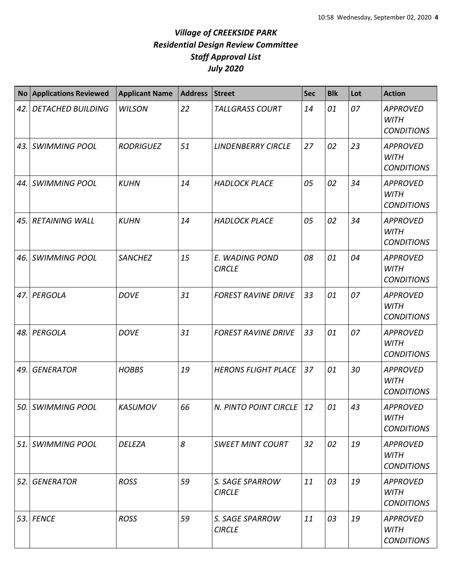| <b>No</b> | <b>Applications Reviewed</b> | <b>Applicant Name</b> | <b>Address</b> | <b>Street</b>                    | <b>Sec</b> | <b>Blk</b> | Lot | <b>Action</b>                                       |
|-----------|------------------------------|-----------------------|----------------|----------------------------------|------------|------------|-----|-----------------------------------------------------|
| 42.       | <b>DETACHED BUILDING</b>     | <b>WILSON</b>         | 22             | <b>TALLGRASS COURT</b>           | 14         | 01         | 07  | <b>APPROVED</b><br><b>WITH</b><br><b>CONDITIONS</b> |
|           | 43. SWIMMING POOL            | <b>RODRIGUEZ</b>      | 51             | <b>LINDENBERRY CIRCLE</b>        | 27         | 02         | 23  | <b>APPROVED</b><br><b>WITH</b><br><b>CONDITIONS</b> |
| 44. l     | <b>SWIMMING POOL</b>         | <b>KUHN</b>           | 14             | <b>HADLOCK PLACE</b>             | 05         | 02         | 34  | <b>APPROVED</b><br><b>WITH</b><br><b>CONDITIONS</b> |
| 45.       | <b>RETAINING WALL</b>        | <b>KUHN</b>           | 14             | <b>HADLOCK PLACE</b>             | 05         | 02         | 34  | <b>APPROVED</b><br><b>WITH</b><br><b>CONDITIONS</b> |
| 46. I     | <b>SWIMMING POOL</b>         | <b>SANCHEZ</b>        | 15             | E. WADING POND<br><b>CIRCLE</b>  | 08         | 01         | 04  | <b>APPROVED</b><br><b>WITH</b><br><b>CONDITIONS</b> |
|           | 47. PERGOLA                  | <b>DOVE</b>           | 31             | <b>FOREST RAVINE DRIVE</b>       | 33         | 01         | 07  | <b>APPROVED</b><br><b>WITH</b><br><b>CONDITIONS</b> |
|           | 48. PERGOLA                  | <b>DOVE</b>           | 31             | <b>FOREST RAVINE DRIVE</b>       | 33         | 01         | 07  | <b>APPROVED</b><br><b>WITH</b><br><b>CONDITIONS</b> |
| 49.       | <b>GENERATOR</b>             | <b>HOBBS</b>          | 19             | <b>HERONS FLIGHT PLACE</b>       | 37         | 01         | 30  | <b>APPROVED</b><br><b>WITH</b><br><b>CONDITIONS</b> |
|           | 50. SWIMMING POOL            | <b>KASUMOV</b>        | 66             | N. PINTO POINT CIRCLE            | 12         | 01         | 43  | <b>APPROVED</b><br><b>WITH</b><br><b>CONDITIONS</b> |
|           | 51. SWIMMING POOL            | <b>DELEZA</b>         | 8              | <b>SWEET MINT COURT</b>          | 32         | 02         | 19  | <b>APPROVED</b><br><b>WITH</b><br><b>CONDITIONS</b> |
| 52.       | <b>GENERATOR</b>             | <b>ROSS</b>           | 59             | S. SAGE SPARROW<br><b>CIRCLE</b> | 11         | 03         | 19  | <b>APPROVED</b><br><b>WITH</b><br><b>CONDITIONS</b> |
|           | 53. FENCE                    | <b>ROSS</b>           | 59             | S. SAGE SPARROW<br><b>CIRCLE</b> | 11         | 03         | 19  | <b>APPROVED</b><br><b>WITH</b><br><b>CONDITIONS</b> |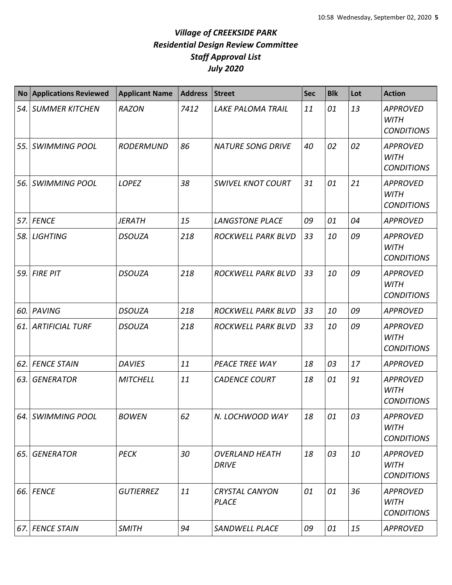| <b>No</b> | <b>Applications Reviewed</b> | <b>Applicant Name</b> | <b>Address</b> | <b>Street</b>                         | <b>Sec</b> | <b>Blk</b> | Lot | <b>Action</b>                                       |
|-----------|------------------------------|-----------------------|----------------|---------------------------------------|------------|------------|-----|-----------------------------------------------------|
| 54.       | <b>SUMMER KITCHEN</b>        | <b>RAZON</b>          | 7412           | <b>LAKE PALOMA TRAIL</b>              | 11         | 01         | 13  | <b>APPROVED</b><br><b>WITH</b><br><b>CONDITIONS</b> |
| 55.       | <b>SWIMMING POOL</b>         | <b>RODERMUND</b>      | 86             | <b>NATURE SONG DRIVE</b>              | 40         | 02         | 02  | <b>APPROVED</b><br><b>WITH</b><br><b>CONDITIONS</b> |
| 56.       | <b>SWIMMING POOL</b>         | LOPEZ                 | 38             | <b>SWIVEL KNOT COURT</b>              | 31         | 01         | 21  | <b>APPROVED</b><br><b>WITH</b><br><b>CONDITIONS</b> |
| 57.       | <b>FENCE</b>                 | <b>JERATH</b>         | 15             | <b>LANGSTONE PLACE</b>                | 09         | 01         | 04  | <b>APPROVED</b>                                     |
| 58.       | <b>LIGHTING</b>              | <b>DSOUZA</b>         | 218            | ROCKWELL PARK BLVD                    | 33         | 10         | 09  | <b>APPROVED</b><br><b>WITH</b><br><b>CONDITIONS</b> |
| 59.       | <b>FIRE PIT</b>              | <b>DSOUZA</b>         | 218            | ROCKWELL PARK BLVD                    | 33         | 10         | 09  | <b>APPROVED</b><br><b>WITH</b><br><b>CONDITIONS</b> |
| 60.       | <b>PAVING</b>                | <b>DSOUZA</b>         | 218            | ROCKWELL PARK BLVD                    | 33         | 10         | 09  | <b>APPROVED</b>                                     |
| 61.       | <b>ARTIFICIAL TURF</b>       | <b>DSOUZA</b>         | 218            | ROCKWELL PARK BLVD                    | 33         | 10         | 09  | <b>APPROVED</b><br><b>WITH</b><br><b>CONDITIONS</b> |
| 62.       | <b>FENCE STAIN</b>           | <b>DAVIES</b>         | 11             | PEACE TREE WAY                        | 18         | 03         | 17  | <b>APPROVED</b>                                     |
| 63.       | <b>GENERATOR</b>             | <b>MITCHELL</b>       | 11             | <b>CADENCE COURT</b>                  | 18         | 01         | 91  | <b>APPROVED</b><br><b>WITH</b><br><b>CONDITIONS</b> |
|           | 64. SWIMMING POOL            | <b>BOWEN</b>          | 62             | N. LOCHWOOD WAY                       | 18         | 01         | 03  | <b>APPROVED</b><br><b>WITH</b><br><b>CONDITIONS</b> |
| 65.       | <b>GENERATOR</b>             | <b>PECK</b>           | 30             | <b>OVERLAND HEATH</b><br><b>DRIVE</b> | 18         | 03         | 10  | <b>APPROVED</b><br><b>WITH</b><br><b>CONDITIONS</b> |
| 66.       | <b>FENCE</b>                 | <b>GUTIERREZ</b>      | 11             | <b>CRYSTAL CANYON</b><br><b>PLACE</b> | 01         | 01         | 36  | <b>APPROVED</b><br><b>WITH</b><br><b>CONDITIONS</b> |
| 67.       | <b>FENCE STAIN</b>           | <b>SMITH</b>          | 94             | SANDWELL PLACE                        | 09         | 01         | 15  | <b>APPROVED</b>                                     |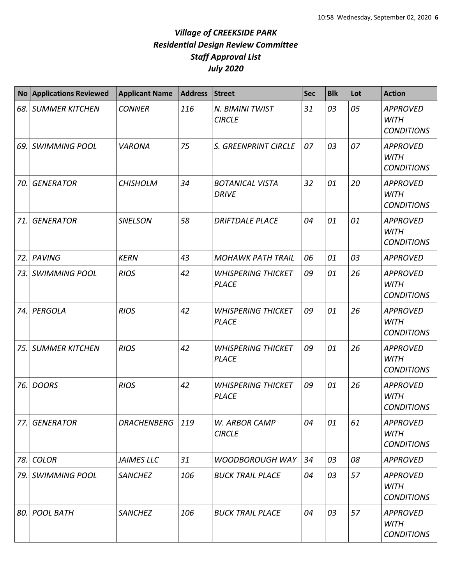|     | <b>No Applications Reviewed</b> | <b>Applicant Name</b> | <b>Address</b> | <b>Street</b>                             | <b>Sec</b> | <b>Blk</b> | Lot | <b>Action</b>                                       |
|-----|---------------------------------|-----------------------|----------------|-------------------------------------------|------------|------------|-----|-----------------------------------------------------|
| 68. | <b>SUMMER KITCHEN</b>           | <b>CONNER</b>         | 116            | N. BIMINI TWIST<br><b>CIRCLE</b>          | 31         | 03         | 05  | <b>APPROVED</b><br><b>WITH</b><br><b>CONDITIONS</b> |
| 69. | <b>SWIMMING POOL</b>            | <b>VARONA</b>         | 75             | S. GREENPRINT CIRCLE                      | 07         | 03         | 07  | <b>APPROVED</b><br><b>WITH</b><br><b>CONDITIONS</b> |
| 70. | <b>GENERATOR</b>                | <b>CHISHOLM</b>       | 34             | <b>BOTANICAL VISTA</b><br><b>DRIVE</b>    | 32         | 01         | 20  | <b>APPROVED</b><br><b>WITH</b><br><b>CONDITIONS</b> |
| 71. | <b>GENERATOR</b>                | <b>SNELSON</b>        | 58             | <b>DRIFTDALE PLACE</b>                    | 04         | 01         | 01  | <b>APPROVED</b><br><b>WITH</b><br><b>CONDITIONS</b> |
| 72. | <b>PAVING</b>                   | <b>KERN</b>           | 43             | <b>MOHAWK PATH TRAIL</b>                  | 06         | 01         | 03  | <b>APPROVED</b>                                     |
| 73. | <b>SWIMMING POOL</b>            | <b>RIOS</b>           | 42             | <b>WHISPERING THICKET</b><br><b>PLACE</b> | 09         | 01         | 26  | <b>APPROVED</b><br><b>WITH</b><br><b>CONDITIONS</b> |
| 74. | PERGOLA                         | <b>RIOS</b>           | 42             | <b>WHISPERING THICKET</b><br><b>PLACE</b> | 09         | 01         | 26  | <b>APPROVED</b><br><b>WITH</b><br><b>CONDITIONS</b> |
| 75. | <b>SUMMER KITCHEN</b>           | <b>RIOS</b>           | 42             | <b>WHISPERING THICKET</b><br><b>PLACE</b> | 09         | 01         | 26  | <b>APPROVED</b><br><b>WITH</b><br><b>CONDITIONS</b> |
| 76. | <b>DOORS</b>                    | <b>RIOS</b>           | 42             | <b>WHISPERING THICKET</b><br><b>PLACE</b> | 09         | 01         | 26  | <b>APPROVED</b><br><b>WITH</b><br><b>CONDITIONS</b> |
| 77. | <b>GENERATOR</b>                | <b>DRACHENBERG</b>    | 119            | W. ARBOR CAMP<br><b>CIRCLE</b>            | 04         | 01         | 61  | <b>APPROVED</b><br><b>WITH</b><br><b>CONDITIONS</b> |
| 78. | <b>COLOR</b>                    | <b>JAIMES LLC</b>     | 31             | <b>WOODBOROUGH WAY</b>                    | 34         | 03         | 08  | <b>APPROVED</b>                                     |
| 79. | <b>SWIMMING POOL</b>            | <b>SANCHEZ</b>        | 106            | <b>BUCK TRAIL PLACE</b>                   | 04         | 03         | 57  | <b>APPROVED</b><br><b>WITH</b><br><b>CONDITIONS</b> |
| 80. | <b>POOL BATH</b>                | <b>SANCHEZ</b>        | 106            | <b>BUCK TRAIL PLACE</b>                   | 04         | 03         | 57  | <b>APPROVED</b><br><b>WITH</b><br><b>CONDITIONS</b> |